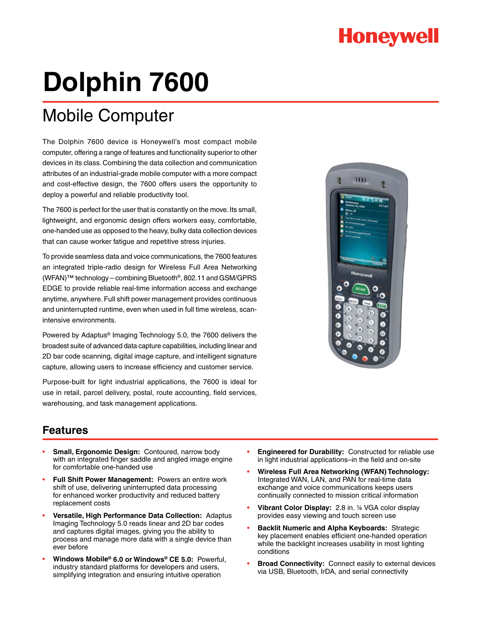## **Honeywell**

# **Dolphin 7600**

## Mobile Computer

The Dolphin 7600 device is Honeywell's most compact mobile computer, offering a range of features and functionality superior to other devices in its class. Combining the data collection and communication attributes of an industrial-grade mobile computer with a more compact and cost-effective design, the 7600 offers users the opportunity to deploy a powerful and reliable productivity tool.

The 7600 is perfect for the user that is constantly on the move. Its small, lightweight, and ergonomic design offers workers easy, comfortable, one-handed use as opposed to the heavy, bulky data collection devices that can cause worker fatigue and repetitive stress injuries.

To provide seamless data and voice communications, the 7600 features an integrated triple-radio design for Wireless Full Area Networking (WFAN)™ technology – combining Bluetooth®, 802.11 and GSM/GPRS EDGE to provide reliable real-time information access and exchange anytime, anywhere. Full shift power management provides continuous and uninterrupted runtime, even when used in full time wireless, scanintensive environments.

Powered by Adaptus® Imaging Technology 5.0, the 7600 delivers the broadest suite of advanced data capture capabilities, including linear and 2D bar code scanning, digital image capture, and intelligent signature capture, allowing users to increase efficiency and customer service.

Purpose-built for light industrial applications, the 7600 is ideal for use in retail, parcel delivery, postal, route accounting, field services, warehousing, and task management applications.



### **Features**

- **Small, Ergonomic Design:** Contoured, narrow body with an integrated finger saddle and angled image engine for comfortable one-handed use
- **Full Shift Power Management:** Powers an entire work shift of use, delivering uninterrupted data processing for enhanced worker productivity and reduced battery replacement costs
- **Versatile, High Performance Data Collection:** Adaptus Imaging Technology 5.0 reads linear and 2D bar codes and captures digital images, giving you the ability to process and manage more data with a single device than ever before
- **Windows Mobile® 6.0 or Windows® CE 5.0:** Powerful, industry standard platforms for developers and users, simplifying integration and ensuring intuitive operation
- **Engineered for Durability:** Constructed for reliable use in light industrial applications–in the field and on-site
- **Wireless Full Area Networking (WFAN) Technology:** Integrated WAN, LAN, and PAN for real-time data exchange and voice communications keeps users continually connected to mission critical information
- **Vibrant Color Display:** 2.8 in. ¼ VGA color display provides easy viewing and touch screen use
- **Backlit Numeric and Alpha Keyboards: Strategic** key placement enables efficient one-handed operation while the backlight increases usability in most lighting conditions
- **Broad Connectivity:** Connect easily to external devices via USB, Bluetooth, IrDA, and serial connectivity